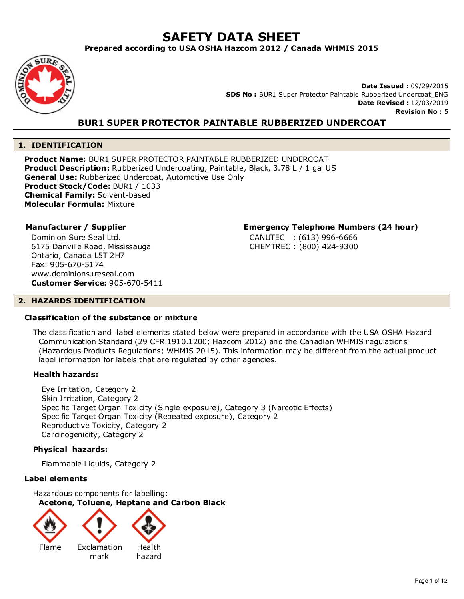# **SAFETY DATA SHEET**

**Prepared according to USA OSHA Hazcom 2012 / Canada WHMIS 2015**



**Date Issued :** 09/29/2015 **SDS No :** BUR1 Super Protector Paintable Rubberized Undercoat\_ENG **Date Revised :** 12/03/2019 **Revision No :** 5

# **BUR1 SUPER PROTECTOR PAINTABLE RUBBERIZED UNDERCOAT**

# **1. IDENTIFICATION**

**Product Name:** BUR1 SUPER PROTECTOR PAINTABLE RUBBERIZED UNDERCOAT **Product Description:** Rubberized Undercoating, Paintable, Black, 3.78 L / 1 gal US **General Use:** Rubberized Undercoat, Automotive Use Only **Product Stock/Code:** BUR1 / 1033 **Chemical Family:** Solvent-based **Molecular Formula:** Mixture

Dominion Sure Seal Ltd. 6175 Danville Road, Mississauga Ontario, Canada L5T 2H7 Fax: 905-670-5174 www.dominionsureseal.com **Customer Service:** 905-670-5411

# **Manufacturer / Supplier Emergency Telephone Numbers (24 hour)**

CANUTEC : (613) 996-6666 CHEMTREC : (800) 424-9300

# **2. HAZARDS IDENTIFICATION**

# **Classification of the substance or mixture**

The classification and label elements stated below were prepared in accordance with the USA OSHA Hazard Communication Standard (29 CFR 1910.1200; Hazcom 2012) and the Canadian WHMIS regulations (Hazardous Products Regulations; WHMIS 2015). This information may be different from the actual product label information for labels that are regulated by other agencies.

# **Health hazards:**

Eye Irritation, Category 2 Skin Irritation, Category 2 Specific Target Organ Toxicity (Single exposure), Category 3 (Narcotic Effects) Specific Target Organ Toxicity (Repeated exposure), Category 2 Reproductive Toxicity, Category 2 Carcinogenicity, Category 2

# **Physical hazards:**

Flammable Liquids, Category 2

# **Label elements**

Hazardous components for labelling: **Acetone, Toluene, Heptane and Carbon Black**





Flame Exclamation mark



hazard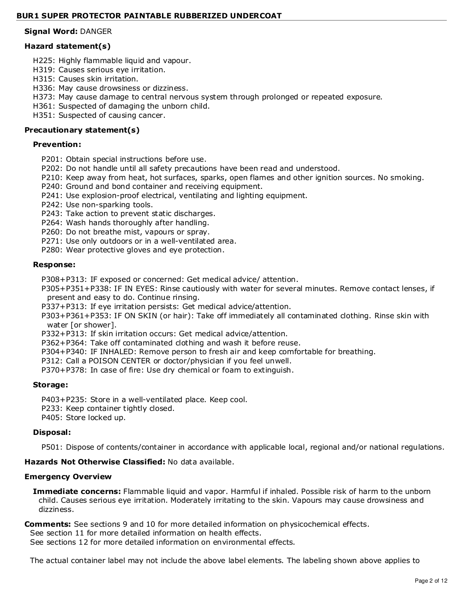# **Signal Word:** DANGER

# **Hazard statement(s)**

- H225: Highly flammable liquid and vapour.
- H319: Causes serious eye irritation.
- H315: Causes skin irritation.
- H336: May cause drowsiness or dizziness.
- H373: May cause damage to central nervous system through prolonged or repeated exposure.
- H361: Suspected of damaging the unborn child.
- H351: Suspected of causing cancer.

# **Precautionary statement(s)**

# **Prevention:**

- P201: Obtain special instructions before use.
- P202: Do not handle until all safety precautions have been read and understood.
- P210: Keep away from heat, hot surfaces, sparks, open flames and other ignition sources. No smoking.
- P240: Ground and bond container and receiving equipment.
- P241: Use explosion-proof electrical, ventilating and lighting equipment.
- P242: Use non-sparking tools.
- P243: Take action to prevent static discharges.
- P264: Wash hands thoroughly after handling.
- P260: Do not breathe mist, vapours or spray.
- P271: Use only outdoors or in a well-ventilated area.
- P280: Wear protective gloves and eye protection.

# **Response:**

P308+P313: IF exposed or concerned: Get medical advice/ attention.

P305+P351+P338: IF IN EYES: Rinse cautiously with water for several minutes. Remove contact lenses, if present and easy to do. Continue rinsing.

P337+P313: If eye irritation persists: Get medical advice/attention.

- P303+P361+P353: IF ON SKIN (or hair): Take off immediately all contaminated clothing. Rinse skin with water [or shower].
- P332+P313: If skin irritation occurs: Get medical advice/attention.
- P362+P364: Take off contaminated clothing and wash it before reuse.
- P304+P340: IF INHALED: Remove person to fresh air and keep comfortable for breathing.
- P312: Call a POISON CENTER or doctor/physician if you feel unwell.
- P370+P378: In case of fire: Use dry chemical or foam to extinguish.

# **Storage:**

P403+P235: Store in a well-ventilated place. Keep cool.

- P233: Keep container tightly closed.
- P405: Store locked up.

# **Disposal:**

P501: Dispose of contents/container in accordance with applicable local, regional and/or national regulations.

# **Hazards Not Otherwise Classified:** No data available.

# **Emergency Overview**

**Immediate concerns:** Flammable liquid and vapor. Harmful if inhaled. Possible risk of harm to the unborn child. Causes serious eye irritation. Moderately irritating to the skin. Vapours may cause drowsiness and dizziness.

# **Comments:** See sections 9 and 10 for more detailed information on physicochemical effects.

See section 11 for more detailed information on health effects.

See sections 12 for more detailed information on environmental effects.

The actual container label may not include the above label elements. The labeling shown above applies to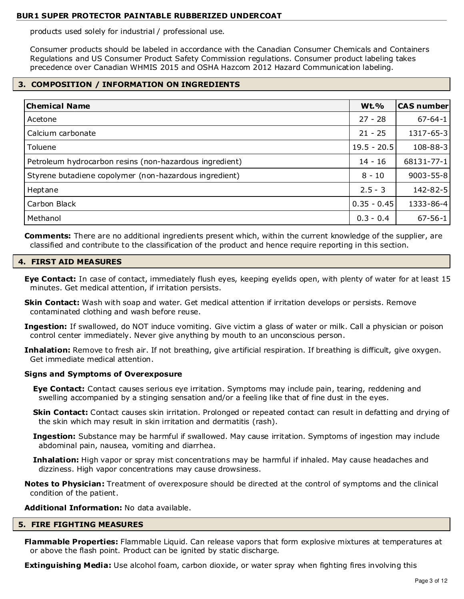products used solely for industrial / professional use.

Consumer products should be labeled in accordance with the Canadian Consumer Chemicals and Containers Regulations and US Consumer Product Safety Commission regulations. Consumer product labeling takes precedence over Canadian WHMIS 2015 and OSHA Hazcom 2012 Hazard Communication labeling.

# **3. COMPOSITION / INFORMATION ON INGREDIENTS**

| <b>Chemical Name</b>                                    | <b>Wt.%</b>   | <b>CAS number</b> |
|---------------------------------------------------------|---------------|-------------------|
| Acetone                                                 | $27 - 28$     | $67 - 64 - 1$     |
| Calcium carbonate                                       | $21 - 25$     | 1317-65-3         |
| Toluene                                                 | $19.5 - 20.5$ | 108-88-3          |
| Petroleum hydrocarbon resins (non-hazardous ingredient) | $14 - 16$     | 68131-77-1        |
| Styrene butadiene copolymer (non-hazardous ingredient)  | $8 - 10$      | $9003 - 55 - 8$   |
| Heptane                                                 | $2.5 - 3$     | 142-82-5          |
| Carbon Black                                            | $0.35 - 0.45$ | 1333-86-4         |
| Methanol                                                | $0.3 - 0.4$   | $67 - 56 - 1$     |

**Comments:** There are no additional ingredients present which, within the current knowledge of the supplier, are classified and contribute to the classification of the product and hence require reporting in this section.

# **4. FIRST AID MEASURES**

- **Eye Contact:** In case of contact, immediately flush eyes, keeping eyelids open, with plenty of water for at least 15 minutes. Get medical attention, if irritation persists.
- **Skin Contact:** Wash with soap and water. Get medical attention if irritation develops or persists. Remove contaminated clothing and wash before reuse.
- **Ingestion:** If swallowed, do NOT induce vomiting. Give victim a glass of water or milk. Call a physician or poison control center immediately. Never give anything by mouth to an unconscious person.
- **Inhalation:** Remove to fresh air. If not breathing, give artificial respiration. If breathing is difficult, give oxygen. Get immediate medical attention.

# **Signs and Symptoms of Overexposure**

- **Eye Contact:** Contact causes serious eye irritation. Symptoms may include pain, tearing, reddening and swelling accompanied by a stinging sensation and/or a feeling like that of fine dust in the eyes.
- **Skin Contact:** Contact causes skin irritation. Prolonged or repeated contact can result in defatting and drying of the skin which may result in skin irritation and dermatitis (rash).
- **Ingestion:** Substance may be harmful if swallowed. May cause irritation. Symptoms of ingestion may include abdominal pain, nausea, vomiting and diarrhea.
- **Inhalation:** High vapor or spray mist concentrations may be harmful if inhaled. May cause headaches and dizziness. High vapor concentrations may cause drowsiness.
- **Notes to Physician:** Treatment of overexposure should be directed at the control of symptoms and the clinical condition of the patient.

# **Additional Information:** No data available.

# **5. FIRE FIGHTING MEASURES**

**Flammable Properties:** Flammable Liquid. Can release vapors that form explosive mixtures at temperatures at or above the flash point. Product can be ignited by static discharge.

**Extinguishing Media:** Use alcohol foam, carbon dioxide, or water spray when fighting fires involving this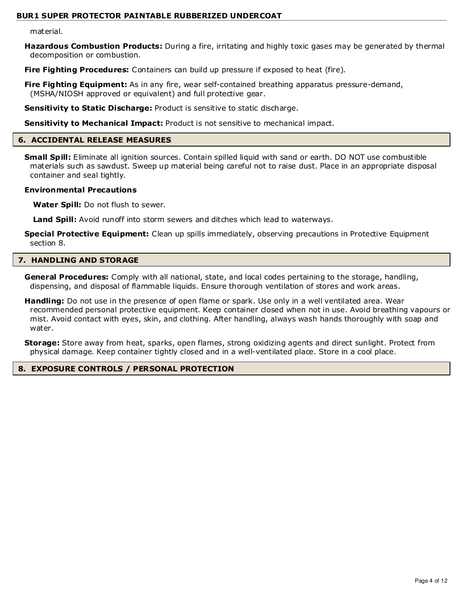material.

**Hazardous Combustion Products:** During a fire, irritating and highly toxic gases may be generated by thermal decomposition or combustion.

**Fire Fighting Procedures:** Containers can build up pressure if exposed to heat (fire).

**Fire Fighting Equipment:** As in any fire, wear self-contained breathing apparatus pressure-demand, (MSHA/NIOSH approved or equivalent) and full protective gear.

**Sensitivity to Static Discharge:** Product is sensitive to static discharge.

**Sensitivity to Mechanical Impact:** Product is not sensitive to mechanical impact.

#### **6. ACCIDENTAL RELEASE MEASURES**

**Small Spill:** Eliminate all ignition sources. Contain spilled liquid with sand or earth. DO NOT use combustible materials such as sawdust. Sweep up material being careful not to raise dust. Place in an appropriate disposal container and seal tightly.

#### **Environmental Precautions**

**Water Spill:** Do not flush to sewer.

**Land Spill:** Avoid runoff into storm sewers and ditches which lead to waterways.

**Special Protective Equipment:** Clean up spills immediately, observing precautions in Protective Equipment section 8.

# **7. HANDLING AND STORAGE**

**General Procedures:** Comply with all national, state, and local codes pertaining to the storage, handling, dispensing, and disposal of flammable liquids. Ensure thorough ventilation of stores and work areas.

**Handling:** Do not use in the presence of open flame or spark. Use only in a well ventilated area. Wear recommended personal protective equipment. Keep container closed when not in use. Avoid breathing vapours or mist. Avoid contact with eyes, skin, and clothing. After handling, always wash hands thoroughly with soap and water.

**Storage:** Store away from heat, sparks, open flames, strong oxidizing agents and direct sunlight. Protect from physical damage. Keep container tightly closed and in a well-ventilated place. Store in a cool place.

# **8. EXPOSURE CONTROLS / PERSONAL PROTECTION**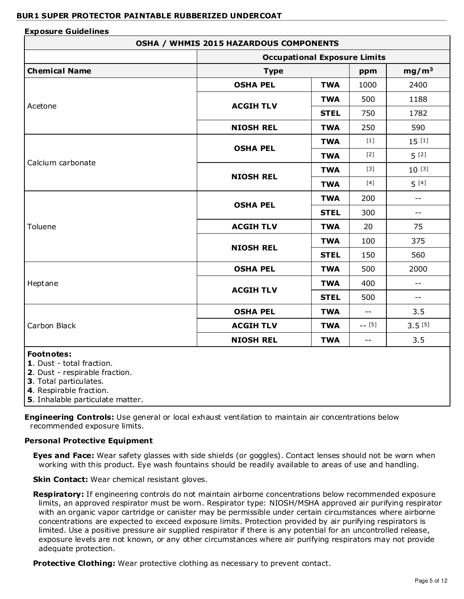#### **Exposure Guidelines OSHA / WHMIS 2015 HAZARDOUS COMPONENTS Occupational Exposure Limits Chemical Name Chemical Name Propose the Chemical Name Propose in the Type Propose in the mg/m<sup>3</sup>** Acetone **OSHA PEL | TWA | 1000 | 2400 ACGIH TLV TWA** | 500 | 1188 **STEL** 750 1782 **NIOSH REL | TWA | 250 | 590** Calcium carbonate **OSHA PEL TWA**  $[1]$  15  $[1]$ **TWA**  $[2]$   $\begin{bmatrix} 5 \\ 2 \end{bmatrix}$ **NIOSH REL TWA**  $[3]$  10  $[3]$ **TWA**  $[4]$   $[5]$   $[4]$ Toluene **OSHA PEL TWA** 200 -- **STEL** 300 --**ACGIH TLV**  $\begin{array}{|c|c|c|c|c|} \hline \textbf{1} & \textbf{20} & \textbf{1} & \textbf{25} \ \hline \end{array}$ **NIOSH REL TWA** 100 375 **STEL** 150 560 Heptane **OSHA PEL**  $\vert$  **TWA**  $\vert$  500  $\vert$  2000 **ACGIH TLV TWA** 400 --**STEL** 500 --Carbon Black **OSHA PEL | TWA | -- | 3.5 ACGIH TLV TWA** -- [5] 3.5 [5]

# **Footnotes:**

**1**. Dust - total fraction.

**2**. Dust - respirable fraction.

**3**. Total particulates.

**4**. Respirable fraction.

**5**. Inhalable particulate matter.

**Engineering Controls:** Use general or local exhaust ventilation to maintain air concentrations below recommended exposure limits.

# **Personal Protective Equipment**

**Eyes and Face:** Wear safety glasses with side shields (or goggles). Contact lenses should not be worn when working with this product. Eye wash fountains should be readily available to areas of use and handling.

**NIOSH REL TWA** -- 3.5

**Skin Contact:** Wear chemical resistant gloves.

**Respiratory:** If engineering controls do not maintain airborne concentrations below recommended exposure limits, an approved respirator must be worn. Respirator type: NIOSH/MSHA approved air purifying respirator with an organic vapor cartridge or canister may be permissible under certain circumstances where airborne concentrations are expected to exceed exposure limits. Protection provided by air purifying respirators is limited. Use a positive pressure air supplied respirator if there is any potential for an uncontrolled release, exposure levels are not known, or any other circumstances where air purifying respirators may not provide adequate protection.

**Protective Clothing:** Wear protective clothing as necessary to prevent contact.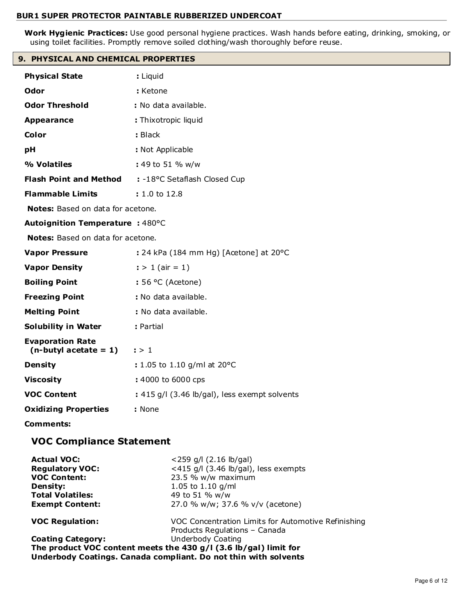**Work Hygienic Practices:** Use good personal hygiene practices. Wash hands before eating, drinking, smoking, or using toilet facilities. Promptly remove soiled clothing/wash thoroughly before reuse.

# **9. PHYSICAL AND CHEMICAL PROPERTIES**

| <b>Physical State</b>                               | : Liquid                                      |
|-----------------------------------------------------|-----------------------------------------------|
| Odor                                                | : Ketone                                      |
| <b>Odor Threshold</b>                               | : No data available.                          |
| <b>Appearance</b>                                   | : Thixotropic liquid                          |
| Color                                               | : Black                                       |
| pH                                                  | : Not Applicable                              |
| % Volatiles                                         | : 49 to 51 % w/w                              |
| <b>Flash Point and Method</b>                       | : -18°C Setaflash Closed Cup                  |
| <b>Flammable Limits</b>                             | : 1.0 to 12.8                                 |
| <b>Notes:</b> Based on data for acetone.            |                                               |
| Autoignition Temperature : 480°C                    |                                               |
| Notes: Based on data for acetone.                   |                                               |
| <b>Vapor Pressure</b>                               | : 24 kPa (184 mm Hg) [Acetone] at 20°C        |
| <b>Vapor Density</b>                                | $:$ > 1 (air = 1)                             |
| <b>Boiling Point</b>                                | $: 56 °C$ (Acetone)                           |
| <b>Freezing Point</b>                               | : No data available.                          |
| <b>Melting Point</b>                                | : No data available.                          |
| <b>Solubility in Water</b>                          | : Partial                                     |
| <b>Evaporation Rate</b><br>$(n$ -butyl acetate = 1) | $\mathbf{I} > 1$                              |
| <b>Density</b>                                      | : 1.05 to 1.10 g/ml at 20°C                   |
| <b>Viscosity</b>                                    | : 4000 to 6000 cps                            |
| <b>VOC Content</b>                                  | : 415 g/l (3.46 lb/gal), less exempt solvents |
| <b>Oxidizing Properties</b>                         | : None                                        |
| <b>Comments:</b>                                    |                                               |
| <b>VOC Compliance Statement</b>                     |                                               |
|                                                     | $\sqrt{2}$                                    |

| <b>Actual VOC:</b>       | $<$ 259 g/l (2.16 lb/gal)                                          |
|--------------------------|--------------------------------------------------------------------|
| <b>Regulatory VOC:</b>   | <415 g/l $(3.46 \text{ lb/gal})$ , less exempts                    |
| <b>VOC Content:</b>      | 23.5 % w/w maximum                                                 |
| <b>Density:</b>          | 1.05 to 1.10 $q/ml$                                                |
| <b>Total Volatiles:</b>  | 49 to 51 % w/w                                                     |
| <b>Exempt Content:</b>   | 27.0 % w/w; 37.6 % v/v (acetone)                                   |
| <b>VOC Regulation:</b>   | VOC Concentration Limits for Automotive Refinishing                |
|                          | Products Regulations - Canada                                      |
| <b>Coating Category:</b> | Underbody Coating                                                  |
|                          | The product VOC content meets the 430 $g/I$ (3.6 lb/gal) limit for |
|                          | Underbody Coatings. Canada compliant. Do not thin with solvents    |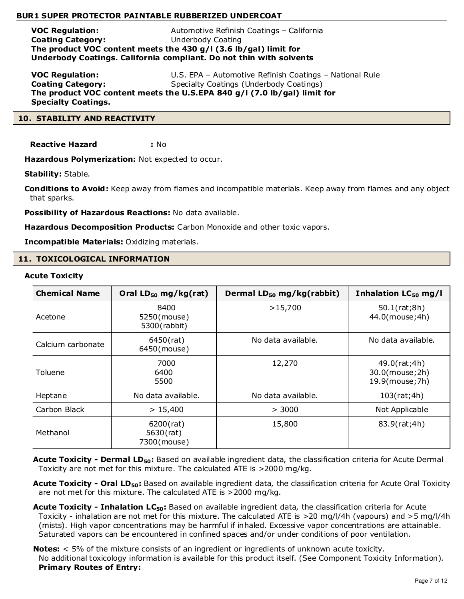**VOC Regulation:** Automotive Refinish Coatings – California **Coating Category:** Underbody Coating **The product VOC content meets the 430 g/l (3.6 lb/gal) limit for Underbody Coatings. California compliant. Do not thin with solvents**

**VOC Regulation:** U.S. EPA – Automotive Refinish Coatings – National Rule **Coating Category:** Specialty Coatings (Underbody Coatings) **The product VOC content meets the U.S.EPA 840 g/l (7.0 lb/gal) limit for Specialty Coatings.**

# **10. STABILITY AND REACTIVITY**

**Reactive Hazard :** No

**Hazardous Polymerization:** Not expected to occur.

**Stability:** Stable.

**Conditions to Avoid:** Keep away from flames and incompatible materials. Keep away from flames and any object that sparks.

**Possibility of Hazardous Reactions:** No data available.

**Hazardous Decomposition Products:** Carbon Monoxide and other toxic vapors.

**Incompatible Materials:** Oxidizing materials.

# **11. TOXICOLOGICAL INFORMATION**

#### **Acute Toxicity**

| <b>Chemical Name</b> | Oral $LD_{50}$ mg/kg(rat)                   | Dermal LD <sub>50</sub> mg/kg(rabbit) | Inhalation LC <sub>50</sub> mg/l                   |
|----------------------|---------------------------------------------|---------------------------------------|----------------------------------------------------|
| Acetone              | 8400<br>5250(mouse)<br>5300(rabbit)         | >15,700                               | 50.1(rat;8h)<br>44.0(mouse; 4h)                    |
| Calcium carbonate    | $6450$ (rat)<br>6450(mouse)                 | No data available.                    | No data available.                                 |
| Toluene              | 7000<br>6400<br>5500                        | 12,270                                | 49.0(rat;4h)<br>30.0(mouse; 2h)<br>19.9(mouse; 7h) |
| Heptane              | No data available.                          | No data available.                    | 103(rat;4h)                                        |
| Carbon Black         | > 15,400                                    | > 3000                                | Not Applicable                                     |
| Methanol             | $6200$ (rat)<br>$5630$ (rat)<br>7300(mouse) | 15,800                                | 83.9(rat;4h)                                       |

Acute Toxicity - Dermal LD<sub>50</sub>: Based on available ingredient data, the classification criteria for Acute Dermal Toxicity are not met for this mixture. The calculated ATE is >2000 mg/kg.

**Acute Toxicity - Oral LD50:** Based on available ingredient data, the classification criteria for Acute Oral Toxicity are not met for this mixture. The calculated ATE is >2000 mg/kg.

**Acute Toxicity - Inhalation LC50:** Based on available ingredient data, the classification criteria for Acute Toxicity - inhalation are not met for this mixture. The calculated ATE is >20 mg/l/4h (vapours) and >5 mg/l/4h (mists). High vapor concentrations may be harmful if inhaled. Excessive vapor concentrations are attainable. Saturated vapors can be encountered in confined spaces and/or under conditions of poor ventilation.

**Notes:** < 5% of the mixture consists of an ingredient or ingredients of unknown acute toxicity. No additional toxicology information is available for this product itself. (See Component Toxicity Information). **Primary Routes of Entry:**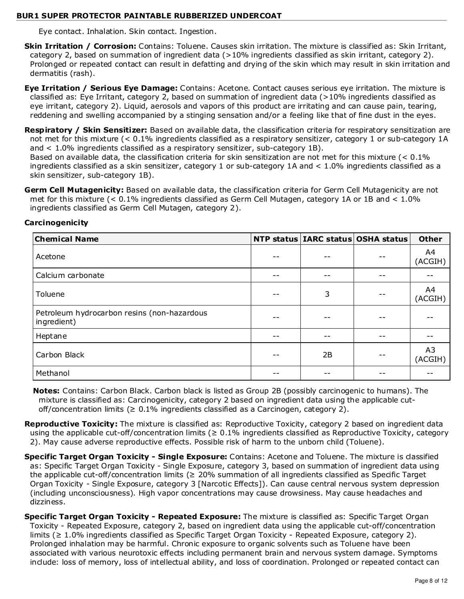Eye contact. Inhalation. Skin contact. Ingestion.

- **Skin Irritation / Corrosion:** Contains: Toluene. Causes skin irritation. The mixture is classified as: Skin Irritant, category 2, based on summation of ingredient data (>10% ingredients classified as skin irritant, category 2). Prolonged or repeated contact can result in defatting and drying of the skin which may result in skin irritation and dermatitis (rash).
- **Eye Irritation / Serious Eye Damage:** Contains: Acetone. Contact causes serious eye irritation. The mixture is classified as: Eye Irritant, category 2, based on summation of ingredient data (>10% ingredients classified as eye irritant, category 2). Liquid, aerosols and vapors of this product are irritating and can cause pain, tearing, reddening and swelling accompanied by a stinging sensation and/or a feeling like that of fine dust in the eyes.
- **Respiratory / Skin Sensitizer:** Based on available data, the classification criteria for respiratory sensitization are not met for this mixture (< 0.1% ingredients classified as a respiratory sensitizer, category 1 or sub-category 1A and < 1.0% ingredients classified as a respiratory sensitizer, sub-category 1B).

Based on available data, the classification criteria for skin sensitization are not met for this mixture (< 0.1% ingredients classified as a skin sensitizer, category 1 or sub-category 1A and < 1.0% ingredients classified as a skin sensitizer, sub-category 1B).

**Germ Cell Mutagenicity:** Based on available data, the classification criteria for Germ Cell Mutagenicity are not met for this mixture (< 0.1% ingredients classified as Germ Cell Mutagen, category 1A or 1B and < 1.0% ingredients classified as Germ Cell Mutagen, category 2).

| <b>Chemical Name</b>                                       |    | NTP status   IARC status   OSHA status | <b>Other</b>  |
|------------------------------------------------------------|----|----------------------------------------|---------------|
| Acetone                                                    |    |                                        | A4<br>(ACGIH) |
| Calcium carbonate                                          |    |                                        |               |
| Toluene                                                    | 3  |                                        | A4<br>(ACGIH) |
| Petroleum hydrocarbon resins (non-hazardous<br>ingredient) |    |                                        |               |
| Heptane                                                    |    |                                        |               |
| Carbon Black                                               | 2B |                                        | A3<br>(ACGIH) |
| Methanol                                                   |    |                                        |               |

# **Carcinogenicity**

**Notes:** Contains: Carbon Black. Carbon black is listed as Group 2B (possibly carcinogenic to humans). The mixture is classified as: Carcinogenicity, category 2 based on ingredient data using the applicable cutoff/concentration limits ( $\geq 0.1\%$  ingredients classified as a Carcinogen, category 2).

Reproductive Toxicity: The mixture is classified as: Reproductive Toxicity, category 2 based on ingredient data using the applicable cut-off/concentration limits ( $\geq 0.1\%$  ingredients classified as Reproductive Toxicity, category 2). May cause adverse reproductive effects. Possible risk of harm to the unborn child (Toluene).

- **Specific Target Organ Toxicity Single Exposure:** Contains: Acetone and Toluene. The mixture is classified as: Specific Target Organ Toxicity - Single Exposure, category 3, based on summation of ingredient data using the applicable cut-off/concentration limits ( $\geq$  20% summation of all ingredients classified as Specific Target Organ Toxicity - Single Exposure, category 3 [Narcotic Effects]). Can cause central nervous system depression (including unconsciousness). High vapor concentrations may cause drowsiness. May cause headaches and dizziness.
- **Specific Target Organ Toxicity Repeated Exposure:** The mixture is classified as: Specific Target Organ Toxicity - Repeated Exposure, category 2, based on ingredient data using the applicable cut-off/concentration limits (≥ 1.0% ingredients classified as Specific Target Organ Toxicity - Repeated Exposure, category 2). Prolonged inhalation may be harmful. Chronic exposure to organic solvents such as Toluene have been associated with various neurotoxic effects including permanent brain and nervous system damage. Symptoms include: loss of memory, loss of intellectual ability, and loss of coordination. Prolonged or repeated contact can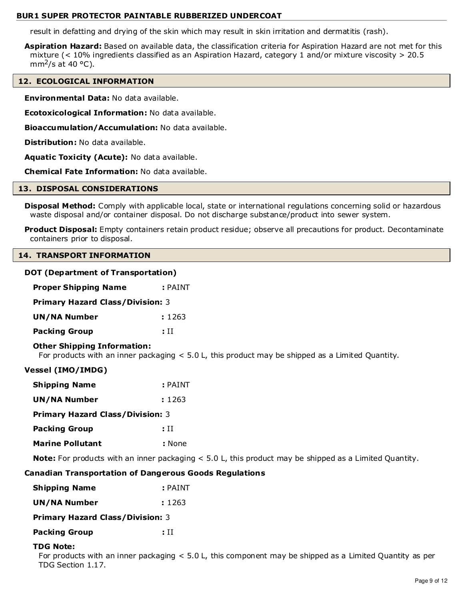result in defatting and drying of the skin which may result in skin irritation and dermatitis (rash).

**Aspiration Hazard:** Based on available data, the classification criteria for Aspiration Hazard are not met for this mixture (< 10% ingredients classified as an Aspiration Hazard, category 1 and/or mixture viscosity > 20.5 mm<sup>2</sup>/s at 40 °C).

# **12. ECOLOGICAL INFORMATION**

**Environmental Data:** No data available.

**Ecotoxicological Information:** No data available.

**Bioaccumulation/Accumulation:** No data available.

**Distribution:** No data available.

**Aquatic Toxicity (Acute):** No data available.

**Chemical Fate Information:** No data available.

#### **13. DISPOSAL CONSIDERATIONS**

**Disposal Method:** Comply with applicable local, state or international regulations concerning solid or hazardous waste disposal and/or container disposal. Do not discharge substance/product into sewer system.

**Product Disposal:** Empty containers retain product residue; observe all precautions for product. Decontaminate containers prior to disposal.

#### **14. TRANSPORT INFORMATION**

# **DOT (Department of Transportation)**

| <b>Proper Shipping Name</b>             | $:$ PAINT |  |  |
|-----------------------------------------|-----------|--|--|
| <b>Primary Hazard Class/Division: 3</b> |           |  |  |
| <b>UN/NA Number</b>                     | : 1263    |  |  |
| <b>Packing Group</b>                    | : H       |  |  |

# **Other Shipping Information:**

For products with an inner packaging < 5.0 L, this product may be shipped as a Limited Quantity.

# **Vessel (IMO/IMDG)**

| <b>Shipping Name</b>                    | : PAINT |  |  |
|-----------------------------------------|---------|--|--|
| UN/NA Number                            | : 1263  |  |  |
| <b>Primary Hazard Class/Division: 3</b> |         |  |  |
| <b>Packing Group</b>                    | : H     |  |  |
| <b>Marine Pollutant</b>                 | : None  |  |  |

**Note:** For products with an inner packaging < 5.0 L, this product may be shipped as a Limited Quantity.

# **Canadian Transportation of Dangerous Goods Regulations**

| <b>Shipping Name</b> | $:$ PAINT |
|----------------------|-----------|
|                      |           |

| UN/NA Number | : 1263 |
|--------------|--------|
|              |        |

**Primary Hazard Class/Division:** 3

**Packing Group : II** 

# **TDG Note:**

For products with an inner packaging < 5.0 L, this component may be shipped as a Limited Quantity as per TDG Section 1.17.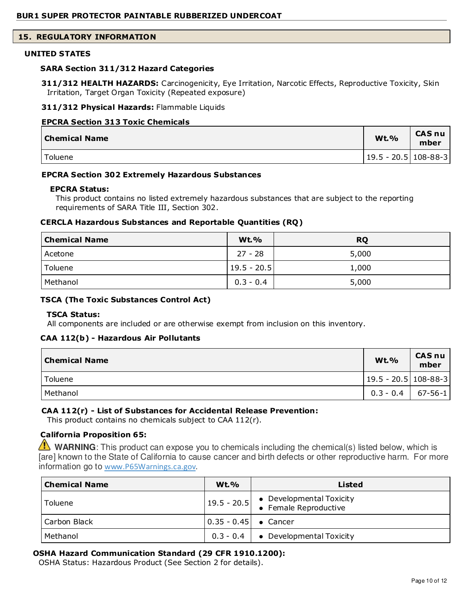# **15. REGULATORY INFORMATION**

#### **UNITED STATES**

#### **SARA Section 311/312 Hazard Categories**

**311/312 HEALTH HAZARDS:** Carcinogenicity, Eye Irritation, Narcotic Effects, Reproductive Toxicity, Skin Irritation, Target Organ Toxicity (Repeated exposure)

#### **311/312 Physical Hazards:** Flammable Liquids

#### **EPCRA Section 313 Toxic Chemicals**

| Chemical Name | <b>Wt.%</b>           | <b>CAS nu</b><br>mber |
|---------------|-----------------------|-----------------------|
| Toluene       | 19.5 - 20.5  108-88-3 |                       |

#### **EPCRA Section 302 Extremely Hazardous Substances**

#### **EPCRA Status:**

This product contains no listed extremely hazardous substances that are subject to the reporting requirements of SARA Title III, Section 302.

#### **CERCLA Hazardous Substances and Reportable Quantities (RQ)**

| <b>Chemical Name</b> | <b>Wt.%</b>     | <b>RQ</b> |
|----------------------|-----------------|-----------|
| Acetone              | $27 - 28$       | 5,000     |
| Toluene              | $ 19.5 - 20.5 $ | 1,000     |
| Methanol             | $0.3 - 0.4$     | 5,000     |

#### **TSCA (The Toxic Substances Control Act)**

#### **TSCA Status:**

All components are included or are otherwise exempt from inclusion on this inventory.

#### **CAA 112(b) - Hazardous Air Pollutants**

| <b>Chemical Name</b> | <b>Wt.%</b>              | <b>CAS nu</b><br>mber |
|----------------------|--------------------------|-----------------------|
| Toluene              | $ 19.5 - 20.5 108-88-3 $ |                       |
| Methanol             | $0.3 - 0.4$   67-56-1    |                       |

# **CAA 112(r) - List of Substances for Accidental Release Prevention:**

This product contains no chemicals subject to CAA 112(r).

# **California Proposition 65:**

**WARNING**: This product can expose you to chemicals including the chemical(s) listed below, which is [are] known to the State of California to cause cancer and birth defects or other reproductive harm. For more information go to www.P65Warnings.ca.gov.

| <b>Chemical Name</b> | $Wt.$ %                                              | Listed                                                                         |
|----------------------|------------------------------------------------------|--------------------------------------------------------------------------------|
| Toluene              |                                                      | $\left  19.5 - 20.5 \right $ • Developmental Toxicity<br>• Female Reproductive |
| Carbon Black         | $\begin{bmatrix} 0.35 - 0.45 \end{bmatrix}$ • Cancer |                                                                                |
| Methanol             |                                                      | $0.3 - 0.4$ $\bullet$ Developmental Toxicity                                   |

# **OSHA Hazard Communication Standard (29 CFR 1910.1200):**

OSHA Status: Hazardous Product (See Section 2 for details).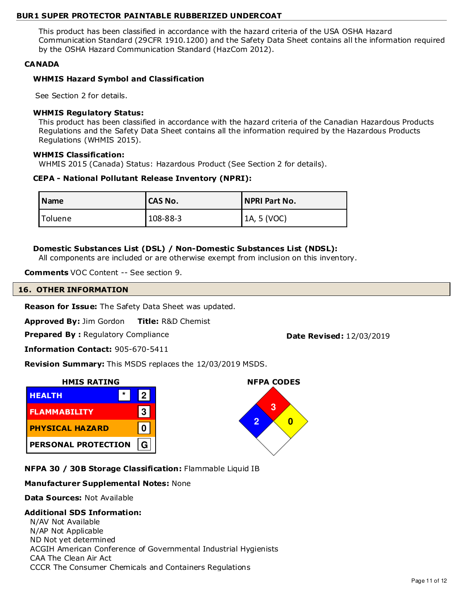This product has been classified in accordance with the hazard criteria of the USA OSHA Hazard Communication Standard (29CFR 1910.1200) and the Safety Data Sheet contains all the information required by the OSHA Hazard Communication Standard (HazCom 2012).

# **CANADA**

# **WHMIS Hazard Symbol and Classification**

See Section 2 for details.

# **WHMIS Regulatory Status:**

This product has been classified in accordance with the hazard criteria of the Canadian Hazardous Products Regulations and the Safety Data Sheet contains all the information required by the Hazardous Products Regulations (WHMIS 2015).

# **WHMIS Classification:**

WHMIS 2015 (Canada) Status: Hazardous Product (See Section 2 for details).

# **CEPA - National Pollutant Release Inventory (NPRI):**

| l Name  | <b>ICAS No.</b> | NPRI Part No. |
|---------|-----------------|---------------|
| Toluene | $108 - 88 - 3$  | 1A, 5 (VOC)   |

# **Domestic Substances List (DSL) / Non-Domestic Substances List (NDSL):**

All components are included or are otherwise exempt from inclusion on this inventory.

**Comments** VOC Content -- See section 9.

# **16. OTHER INFORMATION**

**Reason for Issue:** The Safety Data Sheet was updated.

**Approved By:** Jim Gordon **Title:** R&D Chemist

**Prepared By: Regulatory Compliance <b>Date Revised:** 12/03/2019

**NFPA CODES**

**3 2 0**

**Information Contact:** 905-670-5411

**Revision Summary:** This MSDS replaces the 12/03/2019 MSDS.



**NFPA 30 / 30B Storage Classification:** Flammable Liquid IB

# **Manufacturer Supplemental Notes:** None

**Data Sources:** Not Available

# **Additional SDS Information:**

N/AV Not Available N/AP Not Applicable ND Not yet determined ACGIH American Conference of Governmental Industrial Hygienists CAA The Clean Air Act CCCR The Consumer Chemicals and Containers Regulations